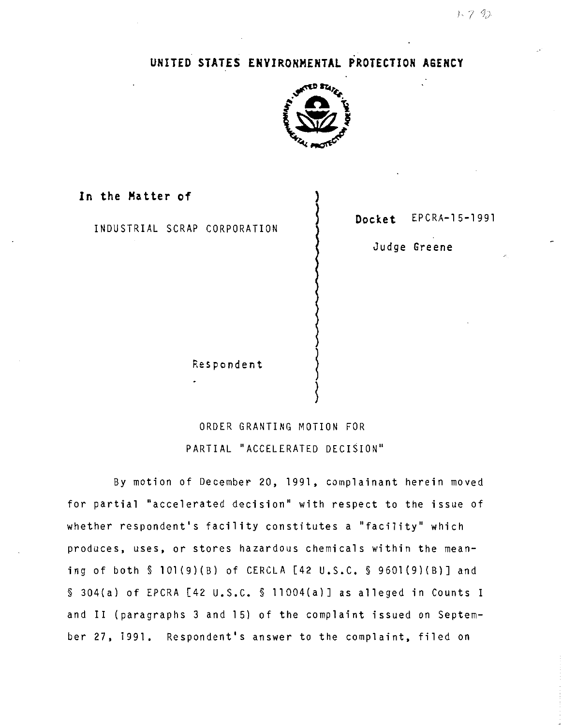## **UNITED STATES ENVIRONMENTAL PROTECTION AGENCY**



**In the Matter of** )

INDUSTRIAL SCRAP CORPORATION **J Docket** EPCRA-15-1991

Judge Greene

**Respondent** 

## ORDER GRANTING MOTION FOR PARTIAL "ACCELERATED DECISION"

~

By motion of December 20, 1991, complainant herein moved for partial "accelerated decision" with respect to the issue of whether respondent's facility constitutes a "facility" which produces, uses, or stores hazardous chemicals within the meaning of both§ 101(9)(8) of CERCLA [42 u.s.c. § 9601(9)(8)] and § 304(a) of EPCRA [42 u.s.c. § 11004(a)] as alleged in Counts I and II (paragraphs 3 and 15) of the complaint issued on September 27, 1991. Respondent's answer to the complaint, filed on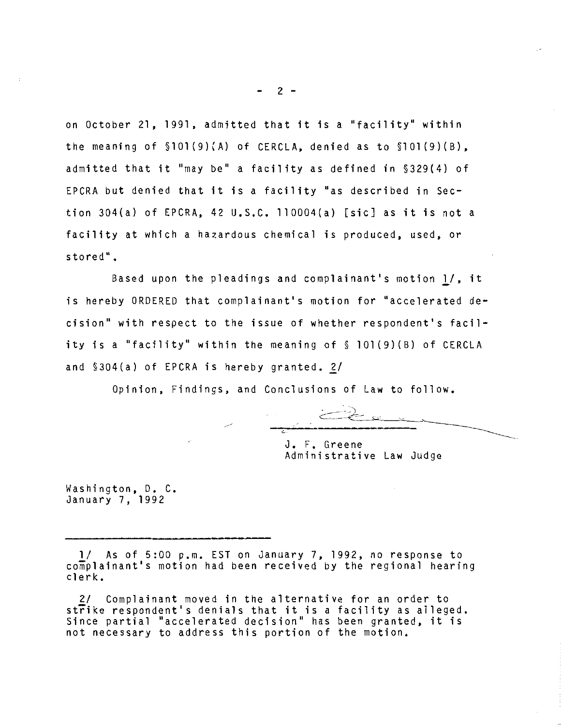on October 21, 1991, admitted that it is a "facility" within the meaning of §101(9)(A) of CERCLA, denied as to §101(9)(B), admitted that **it** "may be" a facility as defined in §329(4) of EPCRA but denied that **it** is a facility "as described in Section 304(a) of EPCRA, 42 U.S.C. 110004(a) [sic] as it is not a facility at which a hazardous chemical is produced, used, or stored".

Based upon the pleadings and complainant's motion *11,* it is hereby ORDERED that complainant's motion for "accelerated decision" with respect to the issue of whether respondent's facility is a "facility" within the meaning of§ 101(9)(B) of CERCLA and  $$304(a)$  of EPCRA is hereby granted. 2/

Opinion, Findings, and Conclusions of Law to follow.

J. F. Greene Administrative Law Judge

Washington, D. C. January 7, 1992

1/ As of 5:00 p.m. EST on January 7, 1992, no response to complainant's motion had been received by the regional hearing clerk.

2/ Complainant moved in the alternative for an order to strike respondent's denials that **it** is a facility as alleged. Since partial "accelerated decision" has been granted, it is not necessary to address this portion of the motion.

 $2 -$